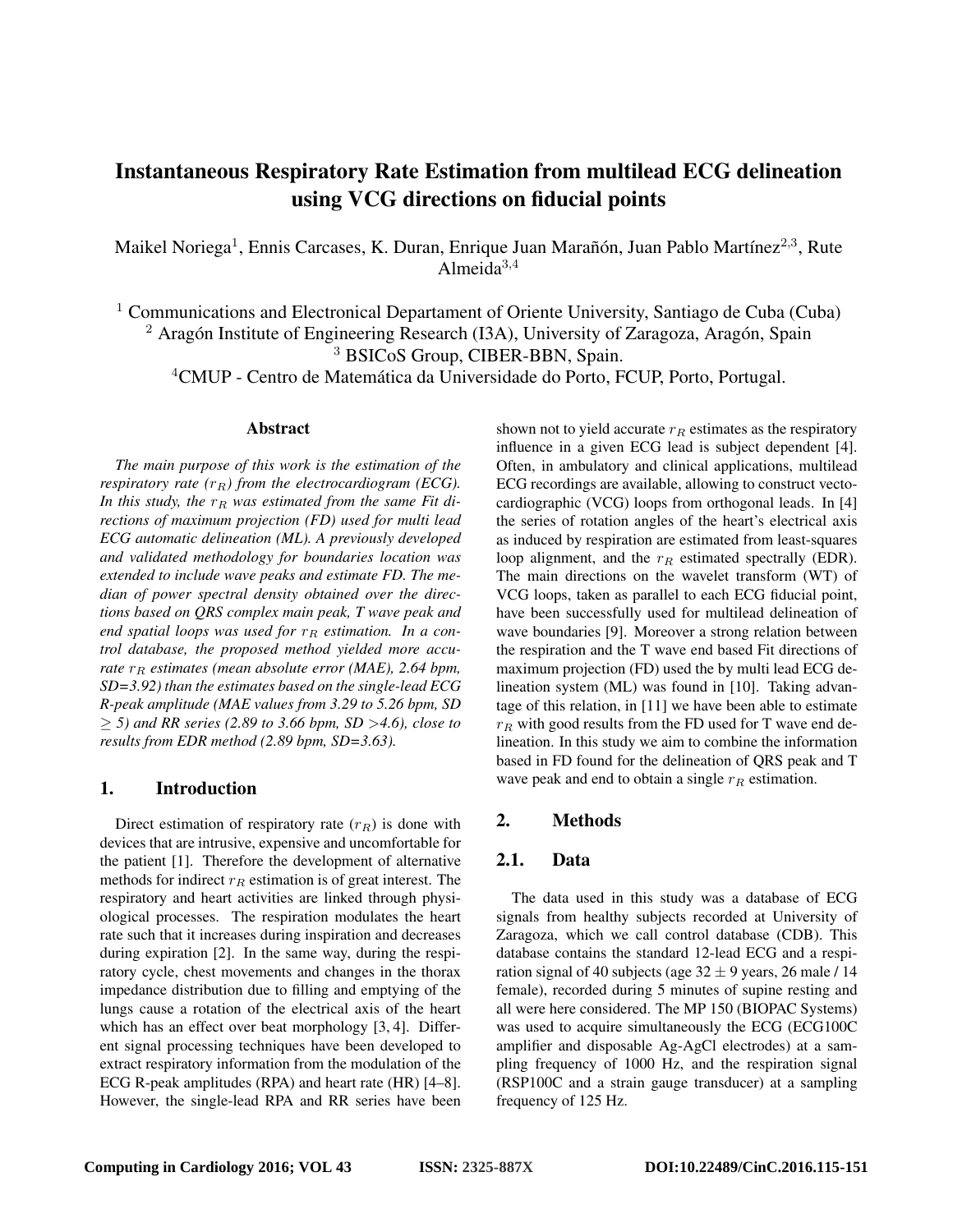# Instantaneous Respiratory Rate Estimation from multilead ECG delineation using VCG directions on fiducial points

Maikel Noriega<sup>1</sup>, Ennis Carcases, K. Duran, Enrique Juan Marañón, Juan Pablo Martínez<sup>2,3</sup>, Rute Almeida $3,4$ 

 $1$  Communications and Electronical Departament of Oriente University, Santiago de Cuba (Cuba)  $2$  Aragón Institute of Engineering Research (I3A), University of Zaragoza, Aragón, Spain

<sup>3</sup> BSICoS Group, CIBER-BBN, Spain.

<sup>4</sup>CMUP - Centro de Matemática da Universidade do Porto, FCUP, Porto, Portugal.

### Abstract

*The main purpose of this work is the estimation of the respiratory rate*  $(r_R)$  *from the electrocardiogram (ECG).* In this study, the  $r_R$  was estimated from the same Fit di*rections of maximum projection (FD) used for multi lead ECG automatic delineation (ML). A previously developed and validated methodology for boundaries location was extended to include wave peaks and estimate FD. The median of power spectral density obtained over the directions based on QRS complex main peak, T wave peak and* end spatial loops was used for  $r_R$  estimation. In a con*trol database, the proposed method yielded more accurate*  $r_R$  *estimates* (*mean absolute error* (*MAE*), 2.64 *bpm*, *SD=3.92) than the estimates based on the single-lead ECG R-peak amplitude (MAE values from 3.29 to 5.26 bpm, SD* ≥ *5) and RR series (2.89 to 3.66 bpm, SD* >*4.6), close to results from EDR method (2.89 bpm, SD=3.63).*

### 1. Introduction

Direct estimation of respiratory rate  $(r_R)$  is done with devices that are intrusive, expensive and uncomfortable for the patient [1]. Therefore the development of alternative methods for indirect  $r_R$  estimation is of great interest. The respiratory and heart activities are linked through physiological processes. The respiration modulates the heart rate such that it increases during inspiration and decreases during expiration [2]. In the same way, during the respiratory cycle, chest movements and changes in the thorax impedance distribution due to filling and emptying of the lungs cause a rotation of the electrical axis of the heart which has an effect over beat morphology [3, 4]. Different signal processing techniques have been developed to extract respiratory information from the modulation of the ECG R-peak amplitudes (RPA) and heart rate (HR) [4–8]. However, the single-lead RPA and RR series have been shown not to yield accurate  $r_R$  estimates as the respiratory influence in a given ECG lead is subject dependent [4]. Often, in ambulatory and clinical applications, multilead ECG recordings are available, allowing to construct vectocardiographic (VCG) loops from orthogonal leads. In [4] the series of rotation angles of the heart's electrical axis as induced by respiration are estimated from least-squares loop alignment, and the  $r_R$  estimated spectrally (EDR). The main directions on the wavelet transform (WT) of VCG loops, taken as parallel to each ECG fiducial point, have been successfully used for multilead delineation of wave boundaries [9]. Moreover a strong relation between the respiration and the T wave end based Fit directions of maximum projection (FD) used the by multi lead ECG delineation system (ML) was found in [10]. Taking advantage of this relation, in [11] we have been able to estimate  $r_R$  with good results from the FD used for T wave end delineation. In this study we aim to combine the information based in FD found for the delineation of QRS peak and T wave peak and end to obtain a single  $r_R$  estimation.

# 2. Methods

### 2.1. Data

The data used in this study was a database of ECG signals from healthy subjects recorded at University of Zaragoza, which we call control database (CDB). This database contains the standard 12-lead ECG and a respiration signal of 40 subjects (age  $32 \pm 9$  years, 26 male / 14 female), recorded during 5 minutes of supine resting and all were here considered. The MP 150 (BIOPAC Systems) was used to acquire simultaneously the ECG (ECG100C amplifier and disposable Ag-AgCl electrodes) at a sampling frequency of 1000 Hz, and the respiration signal (RSP100C and a strain gauge transducer) at a sampling frequency of 125 Hz.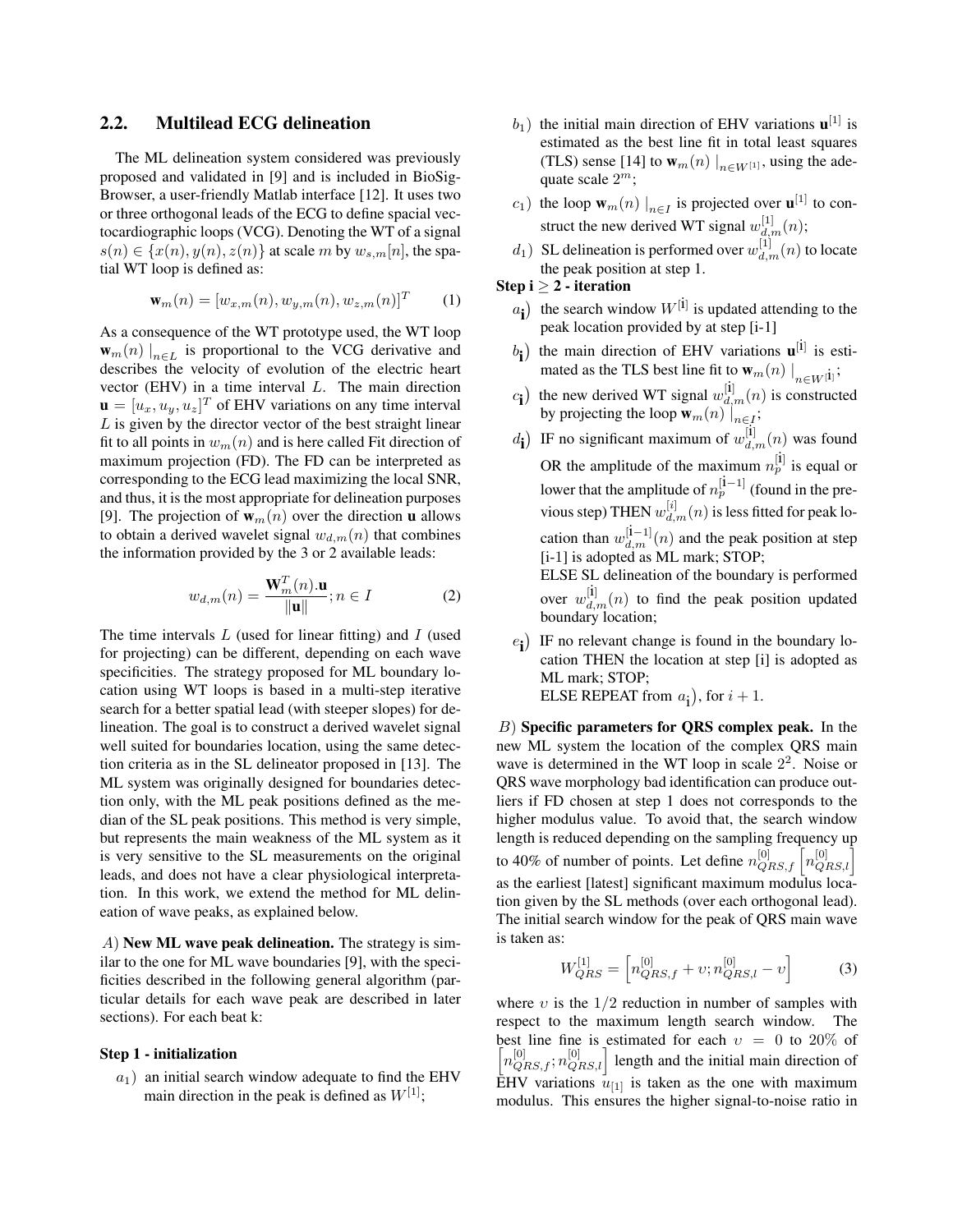### 2.2. Multilead ECG delineation

The ML delineation system considered was previously proposed and validated in [9] and is included in BioSig-Browser, a user-friendly Matlab interface [12]. It uses two or three orthogonal leads of the ECG to define spacial vectocardiographic loops (VCG). Denoting the WT of a signal  $s(n) \in \{x(n), y(n), z(n)\}\$ at scale m by  $w_{s,m}[n]$ , the spatial WT loop is defined as:

$$
\mathbf{w}_{m}(n) = [w_{x,m}(n), w_{y,m}(n), w_{z,m}(n)]^{T}
$$
 (1)

As a consequence of the WT prototype used, the WT loop  $\mathbf{w}_m(n) \big|_{n \in L}$  is proportional to the VCG derivative and describes the velocity of evolution of the electric heart vector (EHV) in a time interval L. The main direction  $\mathbf{u} = [u_x, u_y, u_z]^T$  of EHV variations on any time interval  $L$  is given by the director vector of the best straight linear fit to all points in  $w_m(n)$  and is here called Fit direction of maximum projection (FD). The FD can be interpreted as corresponding to the ECG lead maximizing the local SNR, and thus, it is the most appropriate for delineation purposes [9]. The projection of  $w_m(n)$  over the direction **u** allows to obtain a derived wavelet signal  $w_{d,m}(n)$  that combines the information provided by the 3 or 2 available leads:

$$
w_{d,m}(n) = \frac{\mathbf{W}_m^T(n)\mathbf{u}}{\|\mathbf{u}\|}; n \in I
$$
 (2)

The time intervals  $L$  (used for linear fitting) and  $I$  (used for projecting) can be different, depending on each wave specificities. The strategy proposed for ML boundary location using WT loops is based in a multi-step iterative search for a better spatial lead (with steeper slopes) for delineation. The goal is to construct a derived wavelet signal well suited for boundaries location, using the same detection criteria as in the SL delineator proposed in [13]. The ML system was originally designed for boundaries detection only, with the ML peak positions defined as the median of the SL peak positions. This method is very simple, but represents the main weakness of the ML system as it is very sensitive to the SL measurements on the original leads, and does not have a clear physiological interpretation. In this work, we extend the method for ML delineation of wave peaks, as explained below.

A) New ML wave peak delineation. The strategy is similar to the one for ML wave boundaries [9], with the specificities described in the following general algorithm (particular details for each wave peak are described in later sections). For each beat k:

#### Step 1 - initialization

 $a_1$ ) an initial search window adequate to find the EHV main direction in the peak is defined as  $W^{[1]}$ ;

- $b_1$ ) the initial main direction of EHV variations  $\mathbf{u}^{[1]}$  is estimated as the best line fit in total least squares (TLS) sense [14] to  $\mathbf{w}_m(n) \big|_{n \in W^{[1]}}$ , using the adequate scale  $2^m$ ;
- $c_1$ ) the loop  $w_m(n) \mid_{n \in I}$  is projected over  $\mathbf{u}^{[1]}$  to construct the new derived WT signal  $w_{d,m}^{[1]}(n)$ ;
- $d_1$ ) SL delineation is performed over  $w_{d,m}^{[1]}(n)$  to locate the peak position at step 1.

Step 
$$
i \geq 2
$$
 - iteration

- $a_{\mathbf{i}}$ ) the search window  $W^{[\mathbf{i}]}$  is updated attending to the peak location provided by at step [i-1]
- $b_{\bf i})$ the main direction of EHV variations  $\mathbf{u}^{[i]}$  is estimated as the TLS best line fit to  $\mathbf{w}_m(n) \big|_{n \in W^{[1]}}$ ;
- $c_i$ ) the new derived WT signal  $w_{d,m}^{[i]}(n)$  is constructed by projecting the loop  $\mathbf{w}_m(n) \big|_{n \in I}$ ;
- $d_{\mathbf{i}}$ ) IF no significant maximum of  $w_{d,m}^{[\mathbf{i}]}(n)$  was found OR the amplitude of the maximum  $n_p^{[i]}$  is equal or lower that the amplitude of  $n_p^{[i-1]}$  (found in the previous step) THEN  $w_{d,m}^{[i]}(n)$  is less fitted for peak location than  $w_{d,m}^{[i-1]}(n)$  and the peak position at step [i-1] is adopted as ML mark; STOP; ELSE SL delineation of the boundary is performed

over  $w_{d,m}^{[i]}(n)$  to find the peak position updated boundary location;

 $e_i$ ) IF no relevant change is found in the boundary location THEN the location at step [i] is adopted as ML mark; STOP; ELSE REPEAT from  $a_i$ ), for  $i + 1$ .

 $B$ ) Specific parameters for QRS complex peak. In the new ML system the location of the complex QRS main wave is determined in the WT loop in scale  $2^2$ . Noise or QRS wave morphology bad identification can produce outliers if FD chosen at step 1 does not corresponds to the higher modulus value. To avoid that, the search window length is reduced depending on the sampling frequency up to 40% of number of points. Let define  $n_{QRS,f}^{[0]} \left[ n_{QRS,l}^{[0]} \right]$ as the earliest [latest] significant maximum modulus location given by the SL methods (over each orthogonal lead). The initial search window for the peak of QRS main wave is taken as:

$$
W_{QRS}^{[1]} = \left[ n_{QRS,f}^{[0]} + v; n_{QRS,l}^{[0]} - v \right]
$$
 (3)

where  $v$  is the  $1/2$  reduction in number of samples with respect to the maximum length search window. The best line fine is estimated for each  $v = 0$  to 20% of  $\left[n_{QRS,f}^{[0]}, n_{QRS,l}^{[0]}\right]$  length and the initial main direction of EHV variations  $\bar{u}_{[1]}$  is taken as the one with maximum modulus. This ensures the higher signal-to-noise ratio in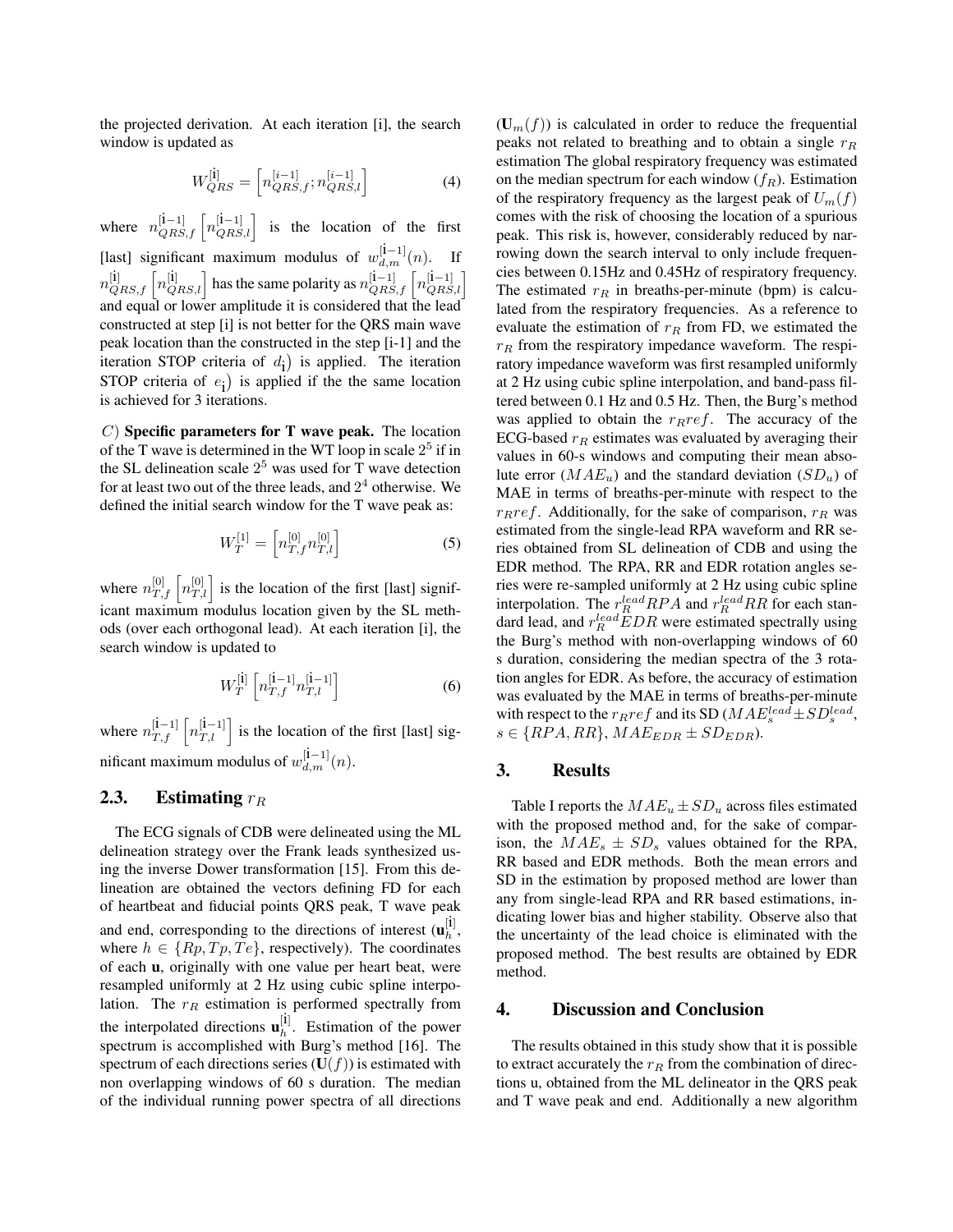the projected derivation. At each iteration [i], the search window is updated as

$$
W_{QRS}^{[i]} = \left[ n_{QRS,f}^{[i-1]}, n_{QRS,l}^{[i-1]} \right]
$$
 (4)

where  $n_{QRS,f}^{[1-1]} \left[n_{QRS,l}^{[1-1]}\right]$  is the location of the first [last] significant maximum modulus of  $w_{d,m}^{[i-1]}(n)$ . If  $n_{QRS,f}^{[i]} \left[n_{QRS,l}^{[i]}\right]$  has the same polarity as  $n_{QRS,f}^{[i-1]} \left[n_{QRS,l}^{[i-1]}\right]$ and equal or lower amplitude it is considered that the lead constructed at step [i] is not better for the QRS main wave peak location than the constructed in the step [i-1] and the iteration STOP criteria of  $d_i$ ) is applied. The iteration STOP criteria of  $e_i$ ) is applied if the the same location is achieved for 3 iterations.

 $(C)$  Specific parameters for T wave peak. The location of the T wave is determined in the WT loop in scale  $2<sup>5</sup>$  if in the SL delineation scale  $2^5$  was used for T wave detection for at least two out of the three leads, and  $2^4$  otherwise. We defined the initial search window for the T wave peak as:

$$
W_T^{[1]} = \left[ n_{T,f}^{[0]} n_{T,l}^{[0]} \right] \tag{5}
$$

where  $n_{T,f}^{[0]}$   $n_{T,l}^{[0]}$  is the location of the first [last] significant maximum modulus location given by the SL methods (over each orthogonal lead). At each iteration [i], the search window is updated to

$$
W_T^{[1]} \left[ n_{T,f}^{[1-1]} n_{T,l}^{[1-1]} \right] \tag{6}
$$

where  $n_{T,f}^{[i-1]}$   $\left[n_{T,l}^{[i-1]}\right]$  is the location of the first [last] significant maximum modulus of  $w_{d,m}^{[i-1]}(n)$ .

# 2.3. Estimating  $r_R$

The ECG signals of CDB were delineated using the ML delineation strategy over the Frank leads synthesized using the inverse Dower transformation [15]. From this delineation are obtained the vectors defining FD for each of heartbeat and fiducial points QRS peak, T wave peak and end, corresponding to the directions of interest  $(\mathbf{u}_h^{[i]})$ , where  $h \in \{Rp, Tp, Te\}$ , respectively). The coordinates of each u, originally with one value per heart beat, were resampled uniformly at 2 Hz using cubic spline interpolation. The  $r_R$  estimation is performed spectrally from the interpolated directions  $\mathbf{u}_h^{[i]}$ . Estimation of the power spectrum is accomplished with Burg's method [16]. The spectrum of each directions series  $(U(f))$  is estimated with non overlapping windows of 60 s duration. The median of the individual running power spectra of all directions

 $(U_m(f))$  is calculated in order to reduce the frequential peaks not related to breathing and to obtain a single  $r_R$ estimation The global respiratory frequency was estimated on the median spectrum for each window  $(f_R)$ . Estimation of the respiratory frequency as the largest peak of  $U_m(f)$ comes with the risk of choosing the location of a spurious peak. This risk is, however, considerably reduced by narrowing down the search interval to only include frequencies between 0.15Hz and 0.45Hz of respiratory frequency. The estimated  $r_R$  in breaths-per-minute (bpm) is calculated from the respiratory frequencies. As a reference to evaluate the estimation of  $r_R$  from FD, we estimated the  $r_R$  from the respiratory impedance waveform. The respiratory impedance waveform was first resampled uniformly at 2 Hz using cubic spline interpolation, and band-pass filtered between 0.1 Hz and 0.5 Hz. Then, the Burg's method was applied to obtain the  $r_Rref$ . The accuracy of the ECG-based  $r_R$  estimates was evaluated by averaging their values in 60-s windows and computing their mean absolute error  $(MAE_u)$  and the standard deviation  $(SD_u)$  of MAE in terms of breaths-per-minute with respect to the  $r_Rref.$  Additionally, for the sake of comparison,  $r_R$  was estimated from the single-lead RPA waveform and RR series obtained from SL delineation of CDB and using the EDR method. The RPA, RR and EDR rotation angles series were re-sampled uniformly at 2 Hz using cubic spline interpolation. The  $r_R^{lead} RPA$  and  $r_R^{lead} RR$  for each standard lead, and  $r_R^{lead} EDR$  were estimated spectrally using the Burg's method with non-overlapping windows of 60 s duration, considering the median spectra of the 3 rotation angles for EDR. As before, the accuracy of estimation was evaluated by the MAE in terms of breaths-per-minute with respect to the  $r_Rref$  and its SD ( $MAE_s^{lead} \pm SD_s^{lead}$ ,  $s \in \{RPA, RR\}, MAE_{EDR} \pm SD_{EDR}$ .

## 3. Results

Table I reports the  $MAE_u \pm SD_u$  across files estimated with the proposed method and, for the sake of comparison, the  $MAE_s \pm SD_s$  values obtained for the RPA, RR based and EDR methods. Both the mean errors and SD in the estimation by proposed method are lower than any from single-lead RPA and RR based estimations, indicating lower bias and higher stability. Observe also that the uncertainty of the lead choice is eliminated with the proposed method. The best results are obtained by EDR method.

### 4. Discussion and Conclusion

The results obtained in this study show that it is possible to extract accurately the  $r_R$  from the combination of directions u, obtained from the ML delineator in the QRS peak and T wave peak and end. Additionally a new algorithm